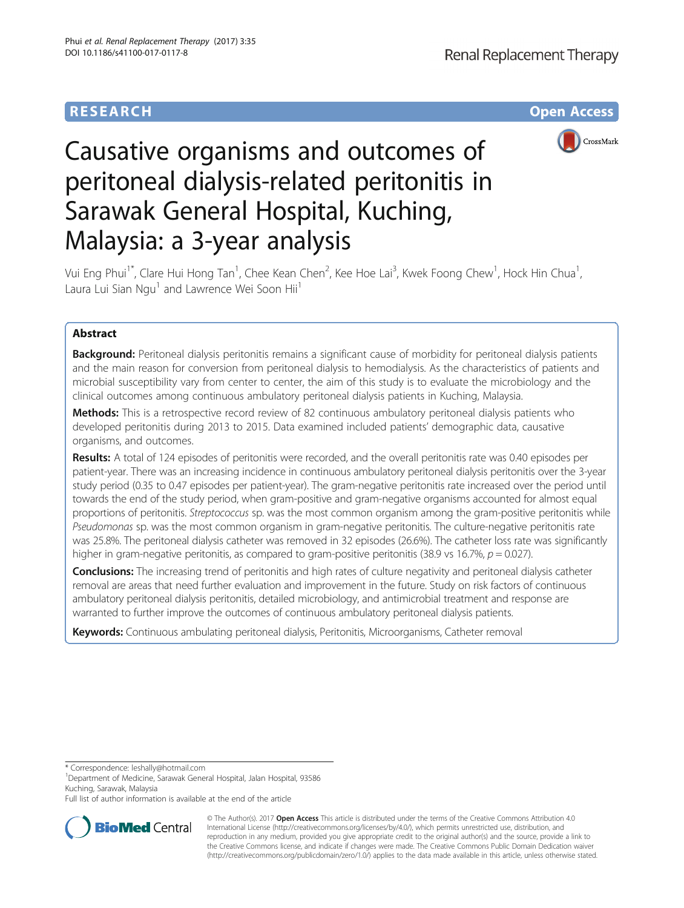## **RESEARCH CHE Open Access**



# Causative organisms and outcomes of peritoneal dialysis-related peritonitis in Sarawak General Hospital, Kuching, Malaysia: a 3-year analysis

Vui Eng Phui $^1^\ast$ , Clare Hui Hong Tan $^1$ , Chee Kean Chen $^2$ , Kee Hoe Lai $^3$ , Kwek Foong Chew $^1$ , Hock Hin Chua $^1$ , Laura Lui Sian Ngu<sup>1</sup> and Lawrence Wei Soon Hii<sup>1</sup>

## Abstract

Background: Peritoneal dialysis peritonitis remains a significant cause of morbidity for peritoneal dialysis patients and the main reason for conversion from peritoneal dialysis to hemodialysis. As the characteristics of patients and microbial susceptibility vary from center to center, the aim of this study is to evaluate the microbiology and the clinical outcomes among continuous ambulatory peritoneal dialysis patients in Kuching, Malaysia.

Methods: This is a retrospective record review of 82 continuous ambulatory peritoneal dialysis patients who developed peritonitis during 2013 to 2015. Data examined included patients' demographic data, causative organisms, and outcomes.

Results: A total of 124 episodes of peritonitis were recorded, and the overall peritonitis rate was 0.40 episodes per patient-year. There was an increasing incidence in continuous ambulatory peritoneal dialysis peritonitis over the 3-year study period (0.35 to 0.47 episodes per patient-year). The gram-negative peritonitis rate increased over the period until towards the end of the study period, when gram-positive and gram-negative organisms accounted for almost equal proportions of peritonitis. Streptococcus sp. was the most common organism among the gram-positive peritonitis while Pseudomonas sp. was the most common organism in gram-negative peritonitis. The culture-negative peritonitis rate was 25.8%. The peritoneal dialysis catheter was removed in 32 episodes (26.6%). The catheter loss rate was significantly higher in gram-negative peritonitis, as compared to gram-positive peritonitis (38.9 vs 16.7%,  $p = 0.027$ ).

Conclusions: The increasing trend of peritonitis and high rates of culture negativity and peritoneal dialysis catheter removal are areas that need further evaluation and improvement in the future. Study on risk factors of continuous ambulatory peritoneal dialysis peritonitis, detailed microbiology, and antimicrobial treatment and response are warranted to further improve the outcomes of continuous ambulatory peritoneal dialysis patients.

Keywords: Continuous ambulating peritoneal dialysis, Peritonitis, Microorganisms, Catheter removal

\* Correspondence: [leshally@hotmail.com](mailto:leshally@hotmail.com) <sup>1</sup>

Department of Medicine, Sarawak General Hospital, Jalan Hospital, 93586 Kuching, Sarawak, Malaysia

Full list of author information is available at the end of the article



© The Author(s). 2017 **Open Access** This article is distributed under the terms of the Creative Commons Attribution 4.0 International License [\(http://creativecommons.org/licenses/by/4.0/](http://creativecommons.org/licenses/by/4.0/)), which permits unrestricted use, distribution, and reproduction in any medium, provided you give appropriate credit to the original author(s) and the source, provide a link to the Creative Commons license, and indicate if changes were made. The Creative Commons Public Domain Dedication waiver [\(http://creativecommons.org/publicdomain/zero/1.0/](http://creativecommons.org/publicdomain/zero/1.0/)) applies to the data made available in this article, unless otherwise stated.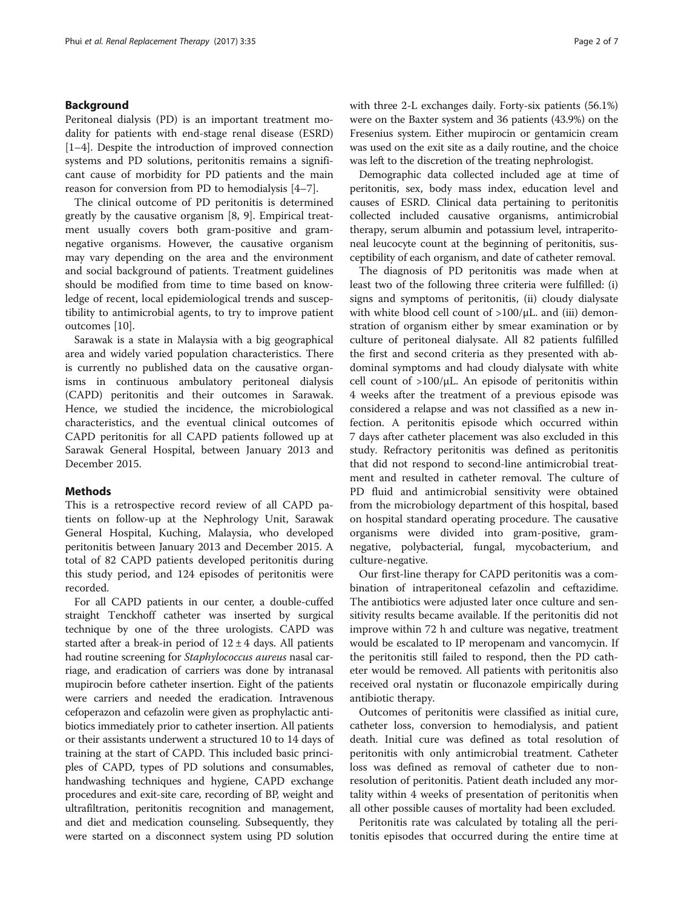#### Background

Peritoneal dialysis (PD) is an important treatment modality for patients with end-stage renal disease (ESRD) [[1](#page-6-0)–[4\]](#page-6-0). Despite the introduction of improved connection systems and PD solutions, peritonitis remains a significant cause of morbidity for PD patients and the main reason for conversion from PD to hemodialysis [\[4](#page-6-0)–[7](#page-6-0)].

The clinical outcome of PD peritonitis is determined greatly by the causative organism [[8, 9](#page-6-0)]. Empirical treatment usually covers both gram-positive and gramnegative organisms. However, the causative organism may vary depending on the area and the environment and social background of patients. Treatment guidelines should be modified from time to time based on knowledge of recent, local epidemiological trends and susceptibility to antimicrobial agents, to try to improve patient outcomes [\[10](#page-6-0)].

Sarawak is a state in Malaysia with a big geographical area and widely varied population characteristics. There is currently no published data on the causative organisms in continuous ambulatory peritoneal dialysis (CAPD) peritonitis and their outcomes in Sarawak. Hence, we studied the incidence, the microbiological characteristics, and the eventual clinical outcomes of CAPD peritonitis for all CAPD patients followed up at Sarawak General Hospital, between January 2013 and December 2015.

#### **Methods**

This is a retrospective record review of all CAPD patients on follow-up at the Nephrology Unit, Sarawak General Hospital, Kuching, Malaysia, who developed peritonitis between January 2013 and December 2015. A total of 82 CAPD patients developed peritonitis during this study period, and 124 episodes of peritonitis were recorded.

For all CAPD patients in our center, a double-cuffed straight Tenckhoff catheter was inserted by surgical technique by one of the three urologists. CAPD was started after a break-in period of  $12 \pm 4$  days. All patients had routine screening for Staphylococcus aureus nasal carriage, and eradication of carriers was done by intranasal mupirocin before catheter insertion. Eight of the patients were carriers and needed the eradication. Intravenous cefoperazon and cefazolin were given as prophylactic antibiotics immediately prior to catheter insertion. All patients or their assistants underwent a structured 10 to 14 days of training at the start of CAPD. This included basic principles of CAPD, types of PD solutions and consumables, handwashing techniques and hygiene, CAPD exchange procedures and exit-site care, recording of BP, weight and ultrafiltration, peritonitis recognition and management, and diet and medication counseling. Subsequently, they were started on a disconnect system using PD solution with three 2-L exchanges daily. Forty-six patients (56.1%) were on the Baxter system and 36 patients (43.9%) on the Fresenius system. Either mupirocin or gentamicin cream was used on the exit site as a daily routine, and the choice was left to the discretion of the treating nephrologist.

Demographic data collected included age at time of peritonitis, sex, body mass index, education level and causes of ESRD. Clinical data pertaining to peritonitis collected included causative organisms, antimicrobial therapy, serum albumin and potassium level, intraperitoneal leucocyte count at the beginning of peritonitis, susceptibility of each organism, and date of catheter removal.

The diagnosis of PD peritonitis was made when at least two of the following three criteria were fulfilled: (i) signs and symptoms of peritonitis, (ii) cloudy dialysate with white blood cell count of >100/μL. and (iii) demonstration of organism either by smear examination or by culture of peritoneal dialysate. All 82 patients fulfilled the first and second criteria as they presented with abdominal symptoms and had cloudy dialysate with white cell count of  $>100/\mu L$ . An episode of peritonitis within 4 weeks after the treatment of a previous episode was considered a relapse and was not classified as a new infection. A peritonitis episode which occurred within 7 days after catheter placement was also excluded in this study. Refractory peritonitis was defined as peritonitis that did not respond to second-line antimicrobial treatment and resulted in catheter removal. The culture of PD fluid and antimicrobial sensitivity were obtained from the microbiology department of this hospital, based on hospital standard operating procedure. The causative organisms were divided into gram-positive, gramnegative, polybacterial, fungal, mycobacterium, and culture-negative.

Our first-line therapy for CAPD peritonitis was a combination of intraperitoneal cefazolin and ceftazidime. The antibiotics were adjusted later once culture and sensitivity results became available. If the peritonitis did not improve within 72 h and culture was negative, treatment would be escalated to IP meropenam and vancomycin. If the peritonitis still failed to respond, then the PD catheter would be removed. All patients with peritonitis also received oral nystatin or fluconazole empirically during antibiotic therapy.

Outcomes of peritonitis were classified as initial cure, catheter loss, conversion to hemodialysis, and patient death. Initial cure was defined as total resolution of peritonitis with only antimicrobial treatment. Catheter loss was defined as removal of catheter due to nonresolution of peritonitis. Patient death included any mortality within 4 weeks of presentation of peritonitis when all other possible causes of mortality had been excluded.

Peritonitis rate was calculated by totaling all the peritonitis episodes that occurred during the entire time at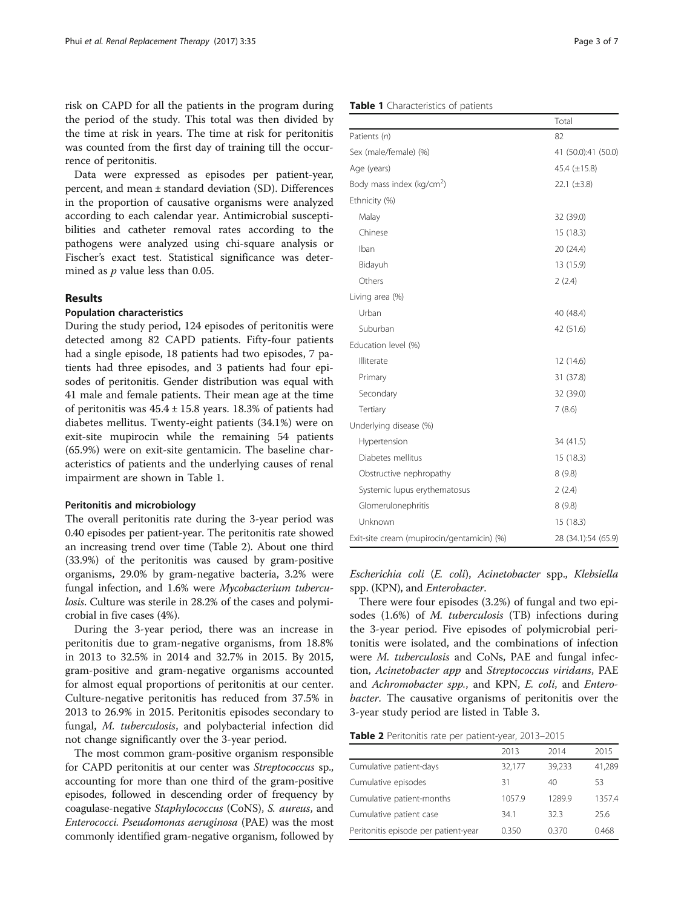risk on CAPD for all the patients in the program during the period of the study. This total was then divided by the time at risk in years. The time at risk for peritonitis was counted from the first day of training till the occurrence of peritonitis.

Data were expressed as episodes per patient-year, percent, and mean ± standard deviation (SD). Differences in the proportion of causative organisms were analyzed according to each calendar year. Antimicrobial susceptibilities and catheter removal rates according to the pathogens were analyzed using chi-square analysis or Fischer's exact test. Statistical significance was determined as  $p$  value less than 0.05.

#### Results

#### Population characteristics

During the study period, 124 episodes of peritonitis were detected among 82 CAPD patients. Fifty-four patients had a single episode, 18 patients had two episodes, 7 patients had three episodes, and 3 patients had four episodes of peritonitis. Gender distribution was equal with 41 male and female patients. Their mean age at the time of peritonitis was  $45.4 \pm 15.8$  years. 18.3% of patients had diabetes mellitus. Twenty-eight patients (34.1%) were on exit-site mupirocin while the remaining 54 patients (65.9%) were on exit-site gentamicin. The baseline characteristics of patients and the underlying causes of renal impairment are shown in Table 1.

#### Peritonitis and microbiology

The overall peritonitis rate during the 3-year period was 0.40 episodes per patient-year. The peritonitis rate showed an increasing trend over time (Table 2). About one third (33.9%) of the peritonitis was caused by gram-positive organisms, 29.0% by gram-negative bacteria, 3.2% were fungal infection, and 1.6% were Mycobacterium tuberculosis. Culture was sterile in 28.2% of the cases and polymicrobial in five cases (4%).

During the 3-year period, there was an increase in peritonitis due to gram-negative organisms, from 18.8% in 2013 to 32.5% in 2014 and 32.7% in 2015. By 2015, gram-positive and gram-negative organisms accounted for almost equal proportions of peritonitis at our center. Culture-negative peritonitis has reduced from 37.5% in 2013 to 26.9% in 2015. Peritonitis episodes secondary to fungal, M. tuberculosis, and polybacterial infection did not change significantly over the 3-year period.

The most common gram-positive organism responsible for CAPD peritonitis at our center was Streptococcus sp., accounting for more than one third of the gram-positive episodes, followed in descending order of frequency by coagulase-negative Staphylococcus (CoNS), S. aureus, and Enterococci. Pseudomonas aeruginosa (PAE) was the most commonly identified gram-negative organism, followed by

| Age (years)                           | 45.4 $(\pm 15.8)$ |
|---------------------------------------|-------------------|
| Body mass index (kg/cm <sup>2</sup> ) | 22.1 $(\pm 3.8)$  |
| Ethnicity (%)                         |                   |
| Malay                                 | 32 (39.0)         |
| Chinese                               | 15(18.3)          |
| Iban                                  | 20 (24.4)         |
| Bidayuh                               | 13 (15.9)         |
| Others                                | 2(2.4)            |
| Living area (%)                       |                   |
| Urban                                 | 40 (48.4)         |
| Suburban                              | 42 (51.6)         |
| Education level (%)                   |                   |
| Illiterate                            | 12 (14.6)         |
| Primary                               | 31 (37.8)         |
| Secondary                             | 32 (39.0)         |
| Tertiary                              | 7(8.6)            |
| Underlying disease (%)                |                   |
| Hypertension                          | 34 (41.5)         |
| Diabetes mellitus                     | 15 (18.3)         |
| Obstructive nephropathy               | 8(9.8)            |
| Systemic lupus erythematosus          | 2(2.4)            |
| Glomerulonephritis                    | 8(98)             |

#### Table 1 Characteristics of patients

Patients  $(n)$  82

Sex (male/female) (%) 41 (50.0):41 (50.0)

Escherichia coli (E. coli), Acinetobacter spp., Klebsiella spp. (KPN), and Enterobacter.

Unknown 15 (18.3) Exit-site cream (mupirocin/gentamicin) (%) 28 (34.1):54 (65.9)

There were four episodes (3.2%) of fungal and two episodes (1.6%) of M. tuberculosis (TB) infections during the 3-year period. Five episodes of polymicrobial peritonitis were isolated, and the combinations of infection were M. tuberculosis and CoNs, PAE and fungal infection, Acinetobacter app and Streptococcus viridans, PAE and Achromobacter spp., and KPN, E. coli, and Enterobacter. The causative organisms of peritonitis over the 3-year study period are listed in Table [3.](#page-3-0)

Table 2 Peritonitis rate per patient-year, 2013-2015

|                                      | 2013   | 2014   | 2015   |
|--------------------------------------|--------|--------|--------|
| Cumulative patient-days              | 32,177 | 39,233 | 41,289 |
| Cumulative episodes                  | 31     | 40     | 53     |
| Cumulative patient-months            | 1057.9 | 1289.9 | 1357.4 |
| Cumulative patient case              | 34.1   | 323    | 25.6   |
| Peritonitis episode per patient-year | 0.350  | 0.370  | 0.468  |

Total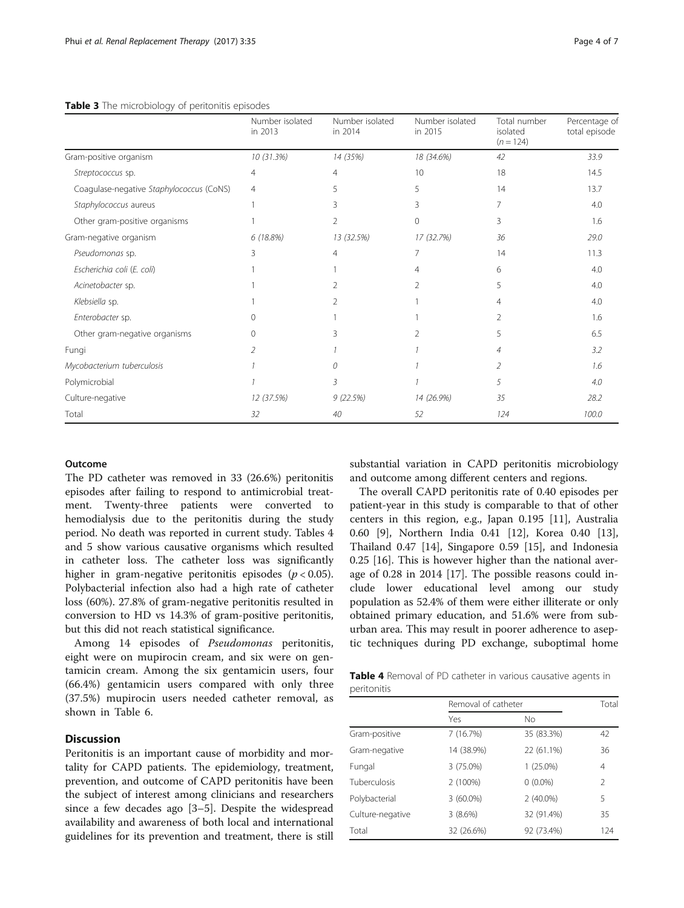<span id="page-3-0"></span>

|                                          | Number isolated<br>in 2013 | Number isolated<br>in 2014 | Number isolated<br>in 2015 | Total number<br>isolated<br>$(n = 124)$ | Percentage of<br>total episode |
|------------------------------------------|----------------------------|----------------------------|----------------------------|-----------------------------------------|--------------------------------|
| Gram-positive organism                   | 10 (31.3%)                 | 14 (35%)                   | 18 (34.6%)                 | 42                                      | 33.9                           |
| Streptococcus sp.                        | 4                          | 4                          | 10                         | 18                                      | 14.5                           |
| Coagulase-negative Staphylococcus (CoNS) | 4                          | 5                          | 5                          | 14                                      | 13.7                           |
| Staphylococcus aureus                    |                            | 3                          | 3                          | 7                                       | 4.0                            |
| Other gram-positive organisms            |                            | 2                          | $\Omega$                   | 3                                       | 1.6                            |
| Gram-negative organism                   | 6(18.8%)                   | 13 (32.5%)                 | 17 (32.7%)                 | 36                                      | 29.0                           |
| Pseudomonas sp.                          | 3                          | 4                          | 7                          | 14                                      | 11.3                           |
| Escherichia coli (E. coli)               |                            |                            | 4                          | 6                                       | 4.0                            |
| Acinetobacter sp.                        |                            | $\mathcal{P}$              | 2                          | 5                                       | 4.0                            |
| Klebsiella sp.                           |                            |                            |                            | 4                                       | 4.0                            |
| Enterobacter sp.                         | U                          |                            |                            |                                         | 1.6                            |
| Other gram-negative organisms            | $\Omega$                   | Β                          |                            | 5                                       | 6.5                            |
| Fungi                                    | $\mathcal{P}$              |                            |                            | 4                                       | 3.2                            |
| Mycobacterium tuberculosis               |                            |                            |                            | $\mathcal{P}$                           | 1.6                            |
| Polymicrobial                            |                            | 3                          |                            | 5                                       | 4.0                            |
| Culture-negative                         | 12 (37.5%)                 | 9(22.5%)                   | 14 (26.9%)                 | 35                                      | 28.2                           |
| Total                                    | 32                         | 40                         | 52                         | 124                                     | 100.0                          |

#### Outcome

The PD catheter was removed in 33 (26.6%) peritonitis episodes after failing to respond to antimicrobial treatment. Twenty-three patients were converted to hemodialysis due to the peritonitis during the study period. No death was reported in current study. Tables 4 and [5](#page-4-0) show various causative organisms which resulted in catheter loss. The catheter loss was significantly higher in gram-negative peritonitis episodes ( $p < 0.05$ ). Polybacterial infection also had a high rate of catheter loss (60%). 27.8% of gram-negative peritonitis resulted in conversion to HD vs 14.3% of gram-positive peritonitis, but this did not reach statistical significance.

Among 14 episodes of Pseudomonas peritonitis, eight were on mupirocin cream, and six were on gentamicin cream. Among the six gentamicin users, four (66.4%) gentamicin users compared with only three (37.5%) mupirocin users needed catheter removal, as shown in Table [6](#page-4-0).

### **Discussion**

Peritonitis is an important cause of morbidity and mortality for CAPD patients. The epidemiology, treatment, prevention, and outcome of CAPD peritonitis have been the subject of interest among clinicians and researchers since a few decades ago [\[3](#page-6-0)–[5\]](#page-6-0). Despite the widespread availability and awareness of both local and international guidelines for its prevention and treatment, there is still

substantial variation in CAPD peritonitis microbiology and outcome among different centers and regions.

The overall CAPD peritonitis rate of 0.40 episodes per patient-year in this study is comparable to that of other centers in this region, e.g., Japan 0.195 [[11\]](#page-6-0), Australia 0.60 [\[9\]](#page-6-0), Northern India 0.41 [\[12](#page-6-0)], Korea 0.40 [\[13](#page-6-0)], Thailand 0.47 [\[14](#page-6-0)], Singapore 0.59 [[15](#page-6-0)], and Indonesia 0.25 [\[16\]](#page-6-0). This is however higher than the national average of 0.28 in 2014 [[17\]](#page-6-0). The possible reasons could include lower educational level among our study population as 52.4% of them were either illiterate or only obtained primary education, and 51.6% were from suburban area. This may result in poorer adherence to aseptic techniques during PD exchange, suboptimal home

Table 4 Removal of PD catheter in various causative agents in peritonitis

|                  | Removal of catheter |             | Total |
|------------------|---------------------|-------------|-------|
|                  | Yes                 | <b>No</b>   |       |
| Gram-positive    | 7(16.7%)            | 35 (83.3%)  | 42    |
| Gram-negative    | 14 (38.9%)          | 22 (61.1%)  | 36    |
| Fungal           | 3 (75.0%)           | 1 (25.0%)   | 4     |
| Tuberculosis     | 2 (100%)            | $0(0.0\%)$  | 2     |
| Polybacterial    | $3(60.0\%)$         | $2(40.0\%)$ | 5     |
| Culture-negative | 3(8.6%)             | 32 (91.4%)  | 35    |
| Total            | 32 (26.6%)          | 92 (73.4%)  | 124   |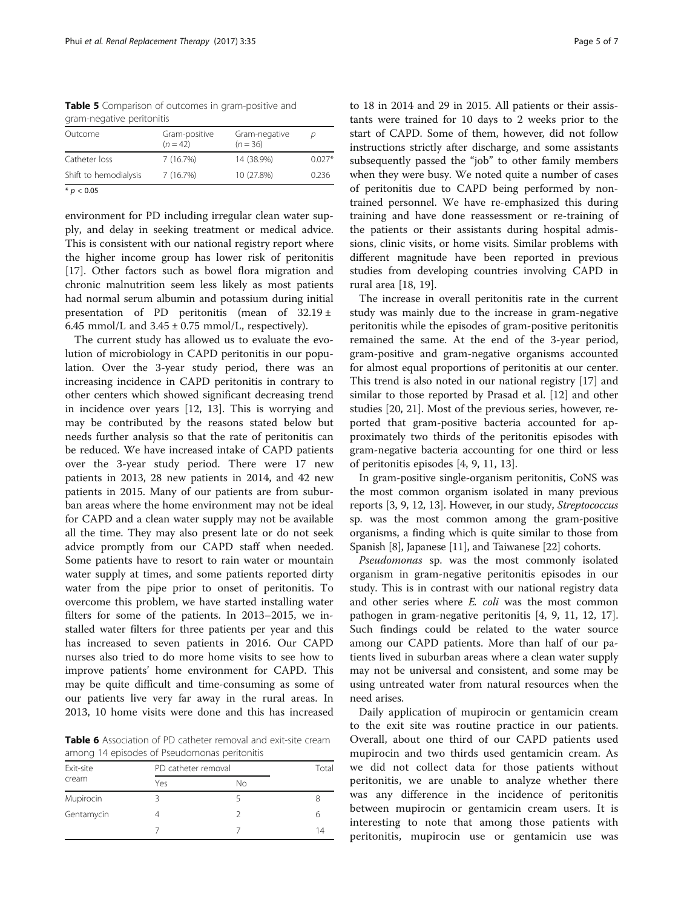<span id="page-4-0"></span>Table 5 Comparison of outcomes in gram-positive and gram-negative peritonitis

| Outcome               | Gram-positive<br>$(n = 42)$ | Gram-negative<br>$(n = 36)$ | n        |
|-----------------------|-----------------------------|-----------------------------|----------|
| Catheter loss         | 7(16.7%)                    | 14 (38.9%)                  | $0.027*$ |
| Shift to hemodialysis | 7(16.7%)                    | 10 (27.8%)                  | 0.236    |
| $*$ <i>p</i> < 0.05   |                             |                             |          |

environment for PD including irregular clean water supply, and delay in seeking treatment or medical advice. This is consistent with our national registry report where the higher income group has lower risk of peritonitis [[17\]](#page-6-0). Other factors such as bowel flora migration and chronic malnutrition seem less likely as most patients had normal serum albumin and potassium during initial presentation of PD peritonitis (mean of 32.19 ± 6.45 mmol/L and  $3.45 \pm 0.75$  mmol/L, respectively).

The current study has allowed us to evaluate the evolution of microbiology in CAPD peritonitis in our population. Over the 3-year study period, there was an increasing incidence in CAPD peritonitis in contrary to other centers which showed significant decreasing trend in incidence over years [[12, 13](#page-6-0)]. This is worrying and may be contributed by the reasons stated below but needs further analysis so that the rate of peritonitis can be reduced. We have increased intake of CAPD patients over the 3-year study period. There were 17 new patients in 2013, 28 new patients in 2014, and 42 new patients in 2015. Many of our patients are from suburban areas where the home environment may not be ideal for CAPD and a clean water supply may not be available all the time. They may also present late or do not seek advice promptly from our CAPD staff when needed. Some patients have to resort to rain water or mountain water supply at times, and some patients reported dirty water from the pipe prior to onset of peritonitis. To overcome this problem, we have started installing water filters for some of the patients. In 2013–2015, we installed water filters for three patients per year and this has increased to seven patients in 2016. Our CAPD nurses also tried to do more home visits to see how to improve patients' home environment for CAPD. This may be quite difficult and time-consuming as some of our patients live very far away in the rural areas. In 2013, 10 home visits were done and this has increased

Table 6 Association of PD catheter removal and exit-site cream among 14 episodes of Pseudomonas peritonitis

| Exit-site<br>cream |     | PD catheter removal |    |
|--------------------|-----|---------------------|----|
|                    | Yes | Νo                  |    |
| Mupirocin          |     |                     | 8  |
| Gentamycin         |     |                     | 6  |
|                    |     |                     | 14 |

to 18 in 2014 and 29 in 2015. All patients or their assistants were trained for 10 days to 2 weeks prior to the start of CAPD. Some of them, however, did not follow instructions strictly after discharge, and some assistants subsequently passed the "job" to other family members when they were busy. We noted quite a number of cases of peritonitis due to CAPD being performed by nontrained personnel. We have re-emphasized this during training and have done reassessment or re-training of the patients or their assistants during hospital admissions, clinic visits, or home visits. Similar problems with different magnitude have been reported in previous studies from developing countries involving CAPD in rural area [\[18](#page-6-0), [19](#page-6-0)].

The increase in overall peritonitis rate in the current study was mainly due to the increase in gram-negative peritonitis while the episodes of gram-positive peritonitis remained the same. At the end of the 3-year period, gram-positive and gram-negative organisms accounted for almost equal proportions of peritonitis at our center. This trend is also noted in our national registry [\[17](#page-6-0)] and similar to those reported by Prasad et al. [[12\]](#page-6-0) and other studies [\[20, 21\]](#page-6-0). Most of the previous series, however, reported that gram-positive bacteria accounted for approximately two thirds of the peritonitis episodes with gram-negative bacteria accounting for one third or less of peritonitis episodes [[4, 9, 11, 13](#page-6-0)].

In gram-positive single-organism peritonitis, CoNS was the most common organism isolated in many previous reports [\[3](#page-6-0), [9](#page-6-0), [12, 13](#page-6-0)]. However, in our study, Streptococcus sp. was the most common among the gram-positive organisms, a finding which is quite similar to those from Spanish [[8](#page-6-0)], Japanese [\[11\]](#page-6-0), and Taiwanese [[22](#page-6-0)] cohorts.

Pseudomonas sp. was the most commonly isolated organism in gram-negative peritonitis episodes in our study. This is in contrast with our national registry data and other series where E. coli was the most common pathogen in gram-negative peritonitis [\[4](#page-6-0), [9](#page-6-0), [11](#page-6-0), [12](#page-6-0), [17](#page-6-0)]. Such findings could be related to the water source among our CAPD patients. More than half of our patients lived in suburban areas where a clean water supply may not be universal and consistent, and some may be using untreated water from natural resources when the need arises.

Daily application of mupirocin or gentamicin cream to the exit site was routine practice in our patients. Overall, about one third of our CAPD patients used mupirocin and two thirds used gentamicin cream. As we did not collect data for those patients without peritonitis, we are unable to analyze whether there was any difference in the incidence of peritonitis between mupirocin or gentamicin cream users. It is interesting to note that among those patients with peritonitis, mupirocin use or gentamicin use was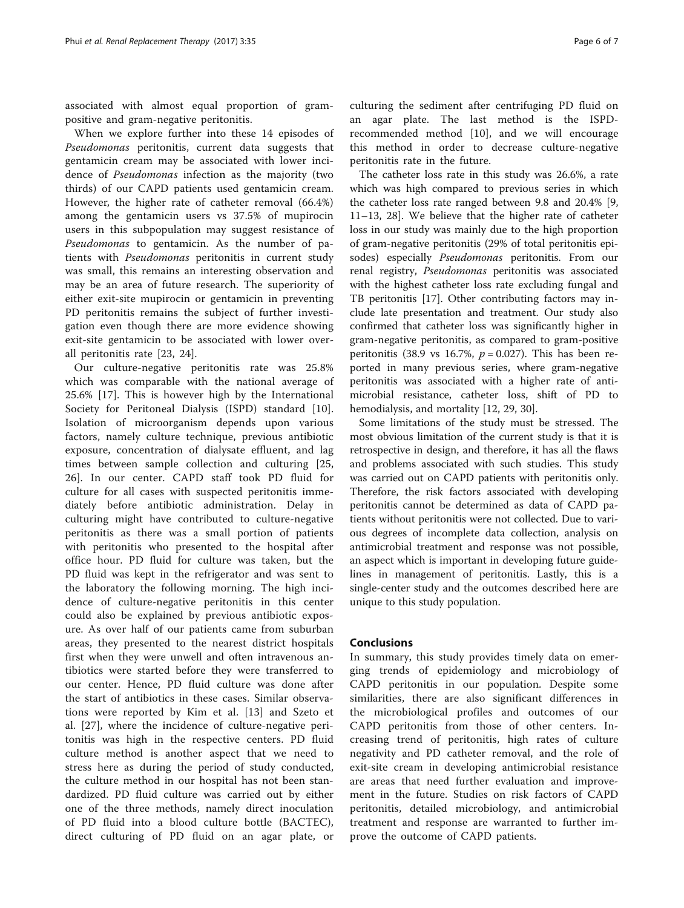associated with almost equal proportion of grampositive and gram-negative peritonitis.

When we explore further into these 14 episodes of Pseudomonas peritonitis, current data suggests that gentamicin cream may be associated with lower incidence of Pseudomonas infection as the majority (two thirds) of our CAPD patients used gentamicin cream. However, the higher rate of catheter removal (66.4%) among the gentamicin users vs 37.5% of mupirocin users in this subpopulation may suggest resistance of Pseudomonas to gentamicin. As the number of patients with Pseudomonas peritonitis in current study was small, this remains an interesting observation and may be an area of future research. The superiority of either exit-site mupirocin or gentamicin in preventing PD peritonitis remains the subject of further investigation even though there are more evidence showing exit-site gentamicin to be associated with lower overall peritonitis rate [[23](#page-6-0), [24](#page-6-0)].

Our culture-negative peritonitis rate was 25.8% which was comparable with the national average of 25.6% [[17\]](#page-6-0). This is however high by the International Society for Peritoneal Dialysis (ISPD) standard [\[10](#page-6-0)]. Isolation of microorganism depends upon various factors, namely culture technique, previous antibiotic exposure, concentration of dialysate effluent, and lag times between sample collection and culturing [\[25](#page-6-0), [26\]](#page-6-0). In our center. CAPD staff took PD fluid for culture for all cases with suspected peritonitis immediately before antibiotic administration. Delay in culturing might have contributed to culture-negative peritonitis as there was a small portion of patients with peritonitis who presented to the hospital after office hour. PD fluid for culture was taken, but the PD fluid was kept in the refrigerator and was sent to the laboratory the following morning. The high incidence of culture-negative peritonitis in this center could also be explained by previous antibiotic exposure. As over half of our patients came from suburban areas, they presented to the nearest district hospitals first when they were unwell and often intravenous antibiotics were started before they were transferred to our center. Hence, PD fluid culture was done after the start of antibiotics in these cases. Similar observations were reported by Kim et al. [\[13](#page-6-0)] and Szeto et al. [[27\]](#page-6-0), where the incidence of culture-negative peritonitis was high in the respective centers. PD fluid culture method is another aspect that we need to stress here as during the period of study conducted, the culture method in our hospital has not been standardized. PD fluid culture was carried out by either one of the three methods, namely direct inoculation of PD fluid into a blood culture bottle (BACTEC), direct culturing of PD fluid on an agar plate, or

culturing the sediment after centrifuging PD fluid on an agar plate. The last method is the ISPDrecommended method [[10\]](#page-6-0), and we will encourage this method in order to decrease culture-negative peritonitis rate in the future.

The catheter loss rate in this study was 26.6%, a rate which was high compared to previous series in which the catheter loss rate ranged between 9.8 and 20.4% [\[9](#page-6-0), [11](#page-6-0)–[13](#page-6-0), [28](#page-6-0)]. We believe that the higher rate of catheter loss in our study was mainly due to the high proportion of gram-negative peritonitis (29% of total peritonitis episodes) especially *Pseudomonas* peritonitis. From our renal registry, Pseudomonas peritonitis was associated with the highest catheter loss rate excluding fungal and TB peritonitis [[17](#page-6-0)]. Other contributing factors may include late presentation and treatment. Our study also confirmed that catheter loss was significantly higher in gram-negative peritonitis, as compared to gram-positive peritonitis (38.9 vs 16.7%,  $p = 0.027$ ). This has been reported in many previous series, where gram-negative peritonitis was associated with a higher rate of antimicrobial resistance, catheter loss, shift of PD to hemodialysis, and mortality [[12](#page-6-0), [29](#page-6-0), [30](#page-6-0)].

Some limitations of the study must be stressed. The most obvious limitation of the current study is that it is retrospective in design, and therefore, it has all the flaws and problems associated with such studies. This study was carried out on CAPD patients with peritonitis only. Therefore, the risk factors associated with developing peritonitis cannot be determined as data of CAPD patients without peritonitis were not collected. Due to various degrees of incomplete data collection, analysis on antimicrobial treatment and response was not possible, an aspect which is important in developing future guidelines in management of peritonitis. Lastly, this is a single-center study and the outcomes described here are unique to this study population.

#### Conclusions

In summary, this study provides timely data on emerging trends of epidemiology and microbiology of CAPD peritonitis in our population. Despite some similarities, there are also significant differences in the microbiological profiles and outcomes of our CAPD peritonitis from those of other centers. Increasing trend of peritonitis, high rates of culture negativity and PD catheter removal, and the role of exit-site cream in developing antimicrobial resistance are areas that need further evaluation and improvement in the future. Studies on risk factors of CAPD peritonitis, detailed microbiology, and antimicrobial treatment and response are warranted to further improve the outcome of CAPD patients.